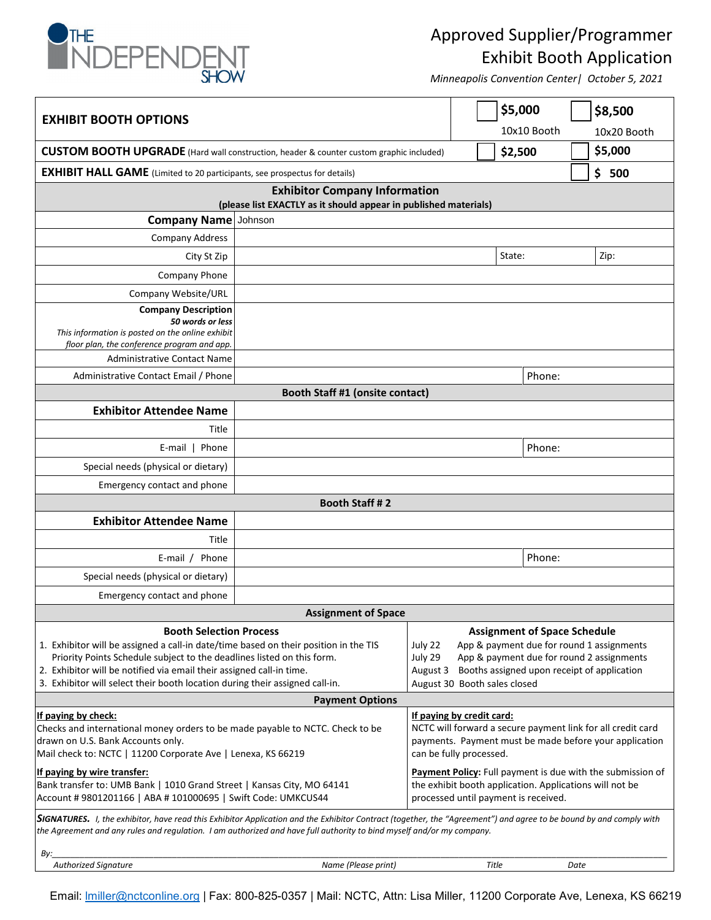

## Approved Supplier/Programmer Exhibit Booth Application

*Minneapolis Convention Center| October 5, 2021*

| <b>EXHIBIT BOOTH OPTIONS</b>                                                                                                                                                                                                                                                                |         |                                                                                                                                                                               |  | \$5,000<br>10x10 Booth       | \$8,500<br>10x20 Booth |  |  |
|---------------------------------------------------------------------------------------------------------------------------------------------------------------------------------------------------------------------------------------------------------------------------------------------|---------|-------------------------------------------------------------------------------------------------------------------------------------------------------------------------------|--|------------------------------|------------------------|--|--|
| <b>CUSTOM BOOTH UPGRADE</b> (Hard wall construction, header & counter custom graphic included)                                                                                                                                                                                              |         |                                                                                                                                                                               |  | \$2,500                      | \$5,000                |  |  |
| <b>EXHIBIT HALL GAME</b> (Limited to 20 participants, see prospectus for details)                                                                                                                                                                                                           |         |                                                                                                                                                                               |  |                              | \$<br>500              |  |  |
| <b>Exhibitor Company Information</b>                                                                                                                                                                                                                                                        |         |                                                                                                                                                                               |  |                              |                        |  |  |
| (please list EXACTLY as it should appear in published materials)                                                                                                                                                                                                                            |         |                                                                                                                                                                               |  |                              |                        |  |  |
| <b>Company Name</b>                                                                                                                                                                                                                                                                         | Johnson |                                                                                                                                                                               |  |                              |                        |  |  |
| Company Address                                                                                                                                                                                                                                                                             |         |                                                                                                                                                                               |  |                              |                        |  |  |
| City St Zip                                                                                                                                                                                                                                                                                 |         |                                                                                                                                                                               |  | State:                       | Zip:                   |  |  |
| Company Phone                                                                                                                                                                                                                                                                               |         |                                                                                                                                                                               |  |                              |                        |  |  |
| Company Website/URL                                                                                                                                                                                                                                                                         |         |                                                                                                                                                                               |  |                              |                        |  |  |
| <b>Company Description</b><br>50 words or less<br>This information is posted on the online exhibit<br>floor plan, the conference program and app.                                                                                                                                           |         |                                                                                                                                                                               |  |                              |                        |  |  |
| <b>Administrative Contact Name</b>                                                                                                                                                                                                                                                          |         |                                                                                                                                                                               |  |                              |                        |  |  |
| Administrative Contact Email / Phone                                                                                                                                                                                                                                                        |         |                                                                                                                                                                               |  | Phone:                       |                        |  |  |
| Booth Staff #1 (onsite contact)<br><b>Exhibitor Attendee Name</b>                                                                                                                                                                                                                           |         |                                                                                                                                                                               |  |                              |                        |  |  |
| Title                                                                                                                                                                                                                                                                                       |         |                                                                                                                                                                               |  |                              |                        |  |  |
|                                                                                                                                                                                                                                                                                             |         |                                                                                                                                                                               |  | Phone:                       |                        |  |  |
| Phone<br>E-mail                                                                                                                                                                                                                                                                             |         |                                                                                                                                                                               |  |                              |                        |  |  |
| Special needs (physical or dietary)                                                                                                                                                                                                                                                         |         |                                                                                                                                                                               |  |                              |                        |  |  |
| Emergency contact and phone                                                                                                                                                                                                                                                                 |         |                                                                                                                                                                               |  |                              |                        |  |  |
| Booth Staff #2                                                                                                                                                                                                                                                                              |         |                                                                                                                                                                               |  |                              |                        |  |  |
| <b>Exhibitor Attendee Name</b>                                                                                                                                                                                                                                                              |         |                                                                                                                                                                               |  |                              |                        |  |  |
| Title                                                                                                                                                                                                                                                                                       |         |                                                                                                                                                                               |  |                              |                        |  |  |
| E-mail / Phone                                                                                                                                                                                                                                                                              |         |                                                                                                                                                                               |  | Phone:                       |                        |  |  |
| Special needs (physical or dietary)                                                                                                                                                                                                                                                         |         |                                                                                                                                                                               |  |                              |                        |  |  |
| Emergency contact and phone                                                                                                                                                                                                                                                                 |         |                                                                                                                                                                               |  |                              |                        |  |  |
| <b>Assignment of Space</b>                                                                                                                                                                                                                                                                  |         |                                                                                                                                                                               |  |                              |                        |  |  |
| <b>Booth Selection Process</b>                                                                                                                                                                                                                                                              |         | <b>Assignment of Space Schedule</b>                                                                                                                                           |  |                              |                        |  |  |
| 1. Exhibitor will be assigned a call-in date/time based on their position in the TIS<br>Priority Points Schedule subject to the deadlines listed on this form.                                                                                                                              |         | App & payment due for round 1 assignments<br>July 22<br>App & payment due for round 2 assignments<br>July 29                                                                  |  |                              |                        |  |  |
| 2. Exhibitor will be notified via email their assigned call-in time.                                                                                                                                                                                                                        |         | August 3 Booths assigned upon receipt of application                                                                                                                          |  |                              |                        |  |  |
| 3. Exhibitor will select their booth location during their assigned call-in.                                                                                                                                                                                                                |         |                                                                                                                                                                               |  | August 30 Booth sales closed |                        |  |  |
| <b>Payment Options</b>                                                                                                                                                                                                                                                                      |         |                                                                                                                                                                               |  |                              |                        |  |  |
| If paying by check:<br>Checks and international money orders to be made payable to NCTC. Check to be<br>drawn on U.S. Bank Accounts only.<br>Mail check to: NCTC   11200 Corporate Ave   Lenexa, KS 66219                                                                                   |         | If paying by credit card:<br>NCTC will forward a secure payment link for all credit card<br>payments. Payment must be made before your application<br>can be fully processed. |  |                              |                        |  |  |
| If paying by wire transfer:<br>Bank transfer to: UMB Bank   1010 Grand Street   Kansas City, MO 64141<br>Account # 9801201166   ABA # 101000695   Swift Code: UMKCUS44                                                                                                                      |         | Payment Policy: Full payment is due with the submission of<br>the exhibit booth application. Applications will not be<br>processed until payment is received.                 |  |                              |                        |  |  |
| SIGNATURES. I, the exhibitor, have read this Exhibitor Application and the Exhibitor Contract (together, the "Agreement") and agree to be bound by and comply with<br>the Agreement and any rules and regulation. I am authorized and have full authority to bind myself and/or my company. |         |                                                                                                                                                                               |  |                              |                        |  |  |

*By:\_\_\_\_\_\_\_\_\_\_\_\_\_\_\_\_\_\_\_\_\_\_\_\_\_\_\_\_\_\_\_\_\_\_\_\_\_\_\_\_\_\_\_\_\_\_\_\_\_\_\_\_\_\_\_\_\_\_\_\_\_\_\_\_\_\_\_\_\_\_\_\_\_\_\_\_\_\_\_\_\_\_\_\_\_\_\_\_\_\_\_\_\_\_\_\_\_\_\_\_\_\_\_\_\_\_\_\_\_\_\_\_\_\_\_\_\_\_\_\_\_\_\_\_\_\_\_\_\_\_\_\_\_ Authorized Signature Name (Please print) Title Date*

Email: *Imiller@nctconline.org* | Fax: 800-825-0357 | Mail: NCTC, Attn: Lisa Miller, 11200 Corporate Ave, Lenexa, KS 66219